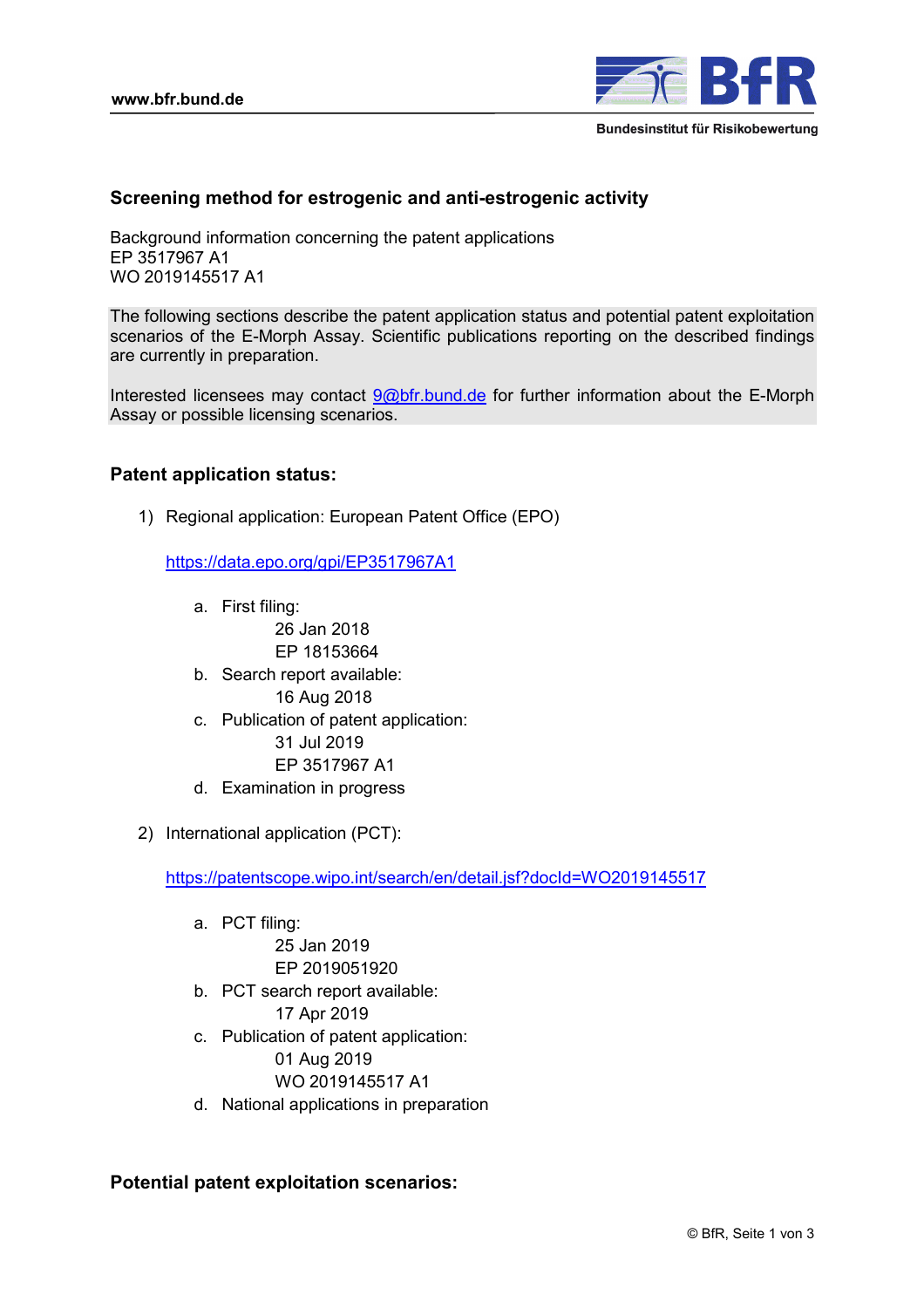

# **Screening method for estrogenic and anti-estrogenic activity**

Background information concerning the patent applications EP 3517967 A1 WO 2019145517 A1

The following sections describe the patent application status and potential patent exploitation scenarios of the E-Morph Assay. Scientific publications reporting on the described findings are currently in preparation.

Interested licensees may contact 9@bfr.bund.de for further information about the E-Morph Assay or possible licensing scenarios.

## **Patent application status:**

1) Regional application: European Patent Office (EPO)

https://data.epo.org/gpi/EP3517967A1

a. First filing:

26 Jan 2018

- EP 18153664
- b. Search report available:
	- 16 Aug 2018
- c. Publication of patent application:
	- 31 Jul 2019
	- EP 3517967 A1
- d. Examination in progress
- 2) International application (PCT):

https://patentscope.wipo.int/search/en/detail.jsf?docId=WO2019145517

- a. PCT filing: 25 Jan 2019 EP 2019051920
- b. PCT search report available: 17 Apr 2019
- c. Publication of patent application:
	- 01 Aug 2019
	- WO 2019145517 A1
- d. National applications in preparation

# **Potential patent exploitation scenarios:**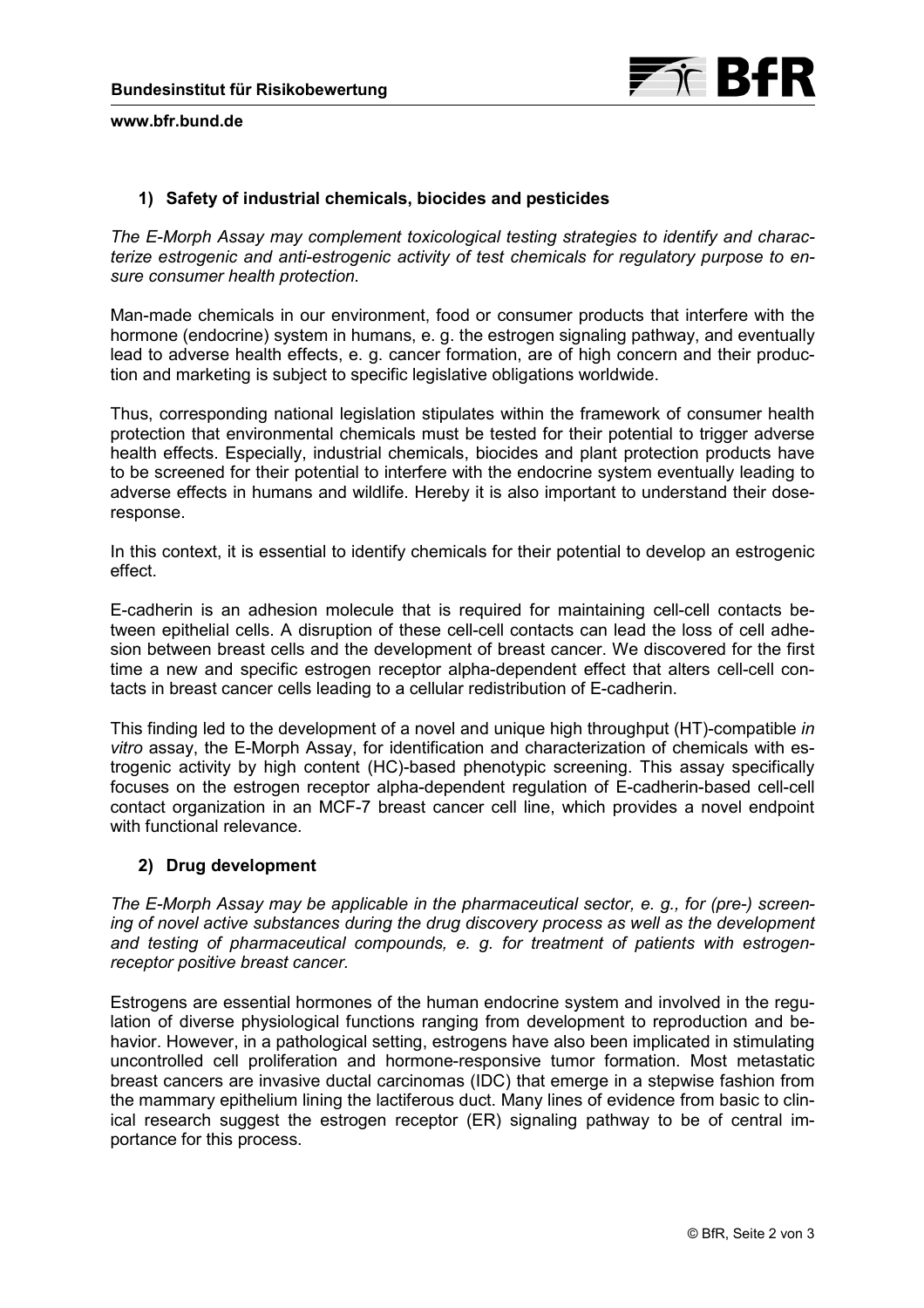

#### **www.bfr.bund.de**

## **1) Safety of industrial chemicals, biocides and pesticides**

*The E-Morph Assay may complement toxicological testing strategies to identify and characterize estrogenic and anti-estrogenic activity of test chemicals for regulatory purpose to ensure consumer health protection.* 

Man-made chemicals in our environment, food or consumer products that interfere with the hormone (endocrine) system in humans, e. g. the estrogen signaling pathway, and eventually lead to adverse health effects, e. g. cancer formation, are of high concern and their production and marketing is subject to specific legislative obligations worldwide.

Thus, corresponding national legislation stipulates within the framework of consumer health protection that environmental chemicals must be tested for their potential to trigger adverse health effects. Especially, industrial chemicals, biocides and plant protection products have to be screened for their potential to interfere with the endocrine system eventually leading to adverse effects in humans and wildlife. Hereby it is also important to understand their doseresponse.

In this context, it is essential to identify chemicals for their potential to develop an estrogenic effect.

E-cadherin is an adhesion molecule that is required for maintaining cell-cell contacts between epithelial cells. A disruption of these cell-cell contacts can lead the loss of cell adhesion between breast cells and the development of breast cancer. We discovered for the first time a new and specific estrogen receptor alpha-dependent effect that alters cell-cell contacts in breast cancer cells leading to a cellular redistribution of E-cadherin.

This finding led to the development of a novel and unique high throughput (HT)-compatible *in vitro* assay, the E-Morph Assay, for identification and characterization of chemicals with estrogenic activity by high content (HC)-based phenotypic screening. This assay specifically focuses on the estrogen receptor alpha-dependent regulation of E-cadherin-based cell-cell contact organization in an MCF-7 breast cancer cell line, which provides a novel endpoint with functional relevance.

#### **2) Drug development**

*The E-Morph Assay may be applicable in the pharmaceutical sector, e. g., for (pre-) screening of novel active substances during the drug discovery process as well as the development and testing of pharmaceutical compounds, e. g. for treatment of patients with estrogenreceptor positive breast cancer.* 

Estrogens are essential hormones of the human endocrine system and involved in the regulation of diverse physiological functions ranging from development to reproduction and behavior. However, in a pathological setting, estrogens have also been implicated in stimulating uncontrolled cell proliferation and hormone-responsive tumor formation. Most metastatic breast cancers are invasive ductal carcinomas (IDC) that emerge in a stepwise fashion from the mammary epithelium lining the lactiferous duct. Many lines of evidence from basic to clinical research suggest the estrogen receptor (ER) signaling pathway to be of central importance for this process.